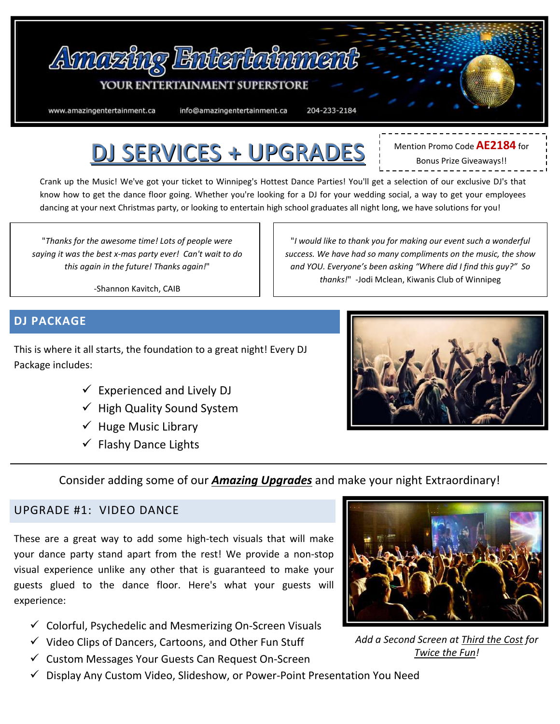

# DJ SERVICES + UPGRADES

Mention Promo Code **AE2184** for Bonus Prize Giveaways!!

Crank up the Music! We've got your ticket to Winnipeg's Hottest Dance Parties! You'll get a selection of our exclusive DJ's that know how to get the dance floor going. Whether you're looking for a DJ for your wedding social, a way to get your employees dancing at your next Christmas party, or looking to entertain high school graduates all night long, we have solutions for you!

"*Thanks for the awesome time! Lots of people were saying it was the best x-mas party ever! Can't wait to do this again in the future! Thanks again!*"

"*I would like to thank you for making our event such a wonderful success. We have had so many compliments on the music, the show and YOU. Everyone's been asking "Where did I find this guy?" So thanks!*" -Jodi Mclean, Kiwanis Club of Winnipeg

-Shannon Kavitch, CAIB

### **DJ PACKAGE**

This is where it all starts, the foundation to a great night! Every DJ Package includes:

- $\checkmark$  Experienced and Lively DJ
- $\checkmark$  High Quality Sound System
- $\checkmark$  Huge Music Library
- $\checkmark$  Flashy Dance Lights



Consider adding some of our *Amazing Upgrades* and make your night Extraordinary!

### UPGRADE #1: VIDEO DANCE

These are a great way to add some high-tech visuals that will make your dance party stand apart from the rest! We provide a non-stop visual experience unlike any other that is guaranteed to make your guests glued to the dance floor. Here's what your guests will experience:

- $\checkmark$  Colorful, Psychedelic and Mesmerizing On-Screen Visuals
- $\checkmark$  Video Clips of Dancers, Cartoons, and Other Fun Stuff
- $\checkmark$  Custom Messages Your Guests Can Request On-Screen
- $\checkmark$  Display Any Custom Video, Slideshow, or Power-Point Presentation You Need



*Add a Second Screen at Third the Cost for Twice the Fun!*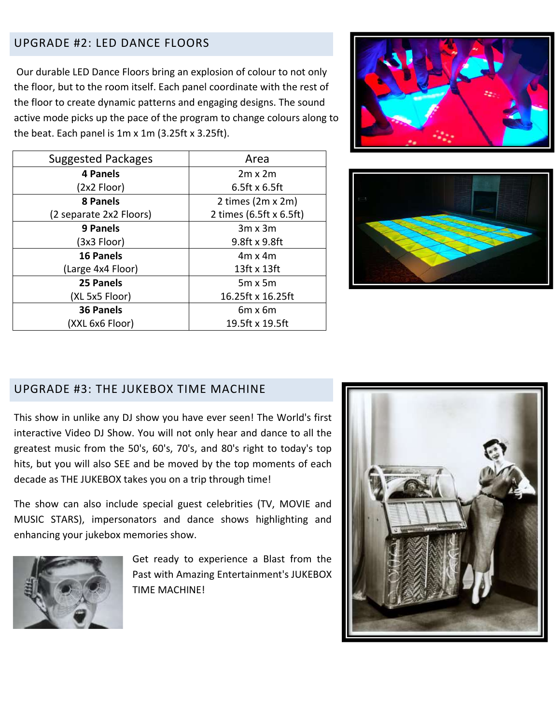### UPGRADE #2: LED DANCE FLOORS

Our durable LED Dance Floors bring an explosion of colour to not only the floor, but to the room itself. Each panel coordinate with the rest of the floor to create dynamic patterns and engaging designs. The sound active mode picks up the pace of the program to change colours along to the beat. Each panel is 1m x 1m (3.25ft x 3.25ft).

| <b>Suggested Packages</b> | Area                    |
|---------------------------|-------------------------|
| 4 Panels                  | $2m \times 2m$          |
| (2x2 Floor)               | $6.5$ ft x 6.5ft        |
| <b>8 Panels</b>           | 2 times (2m x 2m)       |
| (2 separate 2x2 Floors)   | 2 times (6.5ft x 6.5ft) |
| 9 Panels                  | $3m \times 3m$          |
| (3x3 Floor)               | 9.8ft x 9.8ft           |
| 16 Panels                 | $4m \times 4m$          |
| (Large 4x4 Floor)         | $13$ ft x $13$ ft       |
| 25 Panels                 | $5m \times 5m$          |
| (XL 5x5 Floor)            | 16.25ft x 16.25ft       |
| 36 Panels                 | $6m \times 6m$          |
| (XXL 6x6 Floor)           | 19.5ft x 19.5ft         |





### UPGRADE #3: THE JUKEBOX TIME MACHINE

This show in unlike any DJ show you have ever seen! The World's first interactive Video DJ Show. You will not only hear and dance to all the greatest music from the 50's, 60's, 70's, and 80's right to today's top hits, but you will also SEE and be moved by the top moments of each decade as THE JUKEBOX takes you on a trip through time!

The show can also include special guest celebrities (TV, MOVIE and MUSIC STARS), impersonators and dance shows highlighting and enhancing your jukebox memories show.



Get ready to experience a Blast from the Past with Amazing Entertainment's JUKEBOX TIME MACHINE!

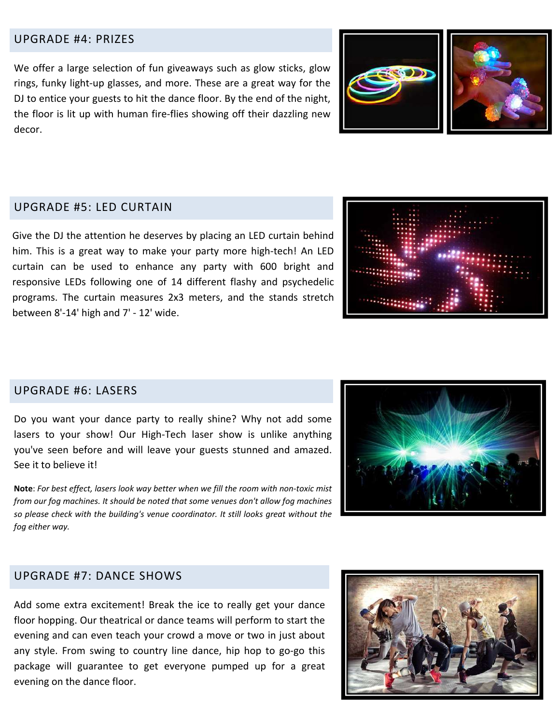### UPGRADE #4: PRIZES

We offer a large selection of fun giveaways such as glow sticks, glow rings, funky light-up glasses, and more. These are a great way for the DJ to entice your guests to hit the dance floor. By the end of the night, the floor is lit up with human fire-flies showing off their dazzling new decor.

### UPGRADE #5: LED CURTAIN

Give the DJ the attention he deserves by placing an LED curtain behind him. This is a great way to make your party more high-tech! An LED curtain can be used to enhance any party with 600 bright and responsive LEDs following one of 14 different flashy and psychedelic programs. The curtain measures 2x3 meters, and the stands stretch between 8'-14' high and 7' - 12' wide.

### UPGRADE #6: LASERS

Do you want your dance party to really shine? Why not add some lasers to your show! Our High-Tech laser show is unlike anything you've seen before and will leave your guests stunned and amazed. See it to believe it!

**Note**: *For best effect, lasers look way better when we fill the room with non-toxic mist from our fog machines. It should be noted that some venues don't allow fog machines so please check with the building's venue coordinator. It still looks great without the fog either way.*



### UPGRADE #7: DANCE SHOWS

Add some extra excitement! Break the ice to really get your dance floor hopping. Our theatrical or dance teams will perform to start the evening and can even teach your crowd a move or two in just about any style. From swing to country line dance, hip hop to go-go this package will guarantee to get everyone pumped up for a great evening on the dance floor.

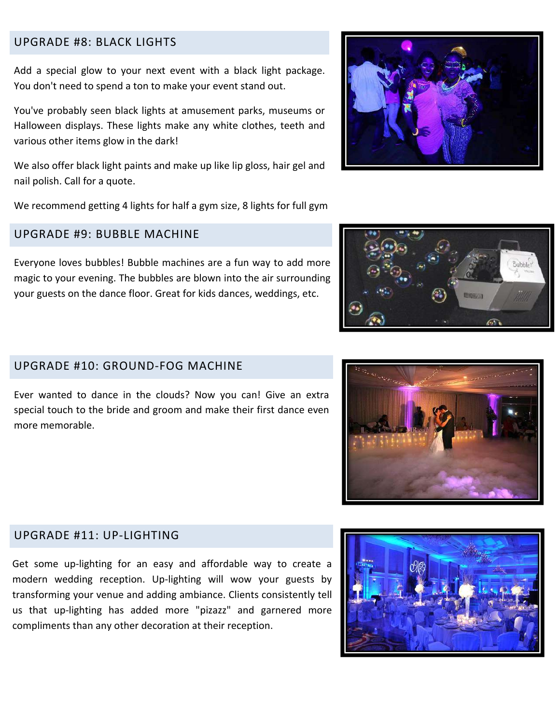### UPGRADE #8: BLACK LIGHTS

Add a special glow to your next event with a black light package. You don't need to spend a ton to make your event stand out.

You've probably seen black lights at amusement parks, museums or Halloween displays. These lights make any white clothes, teeth and various other items glow in the dark!

We also offer black light paints and make up like lip gloss, hair gel and nail polish. Call for a quote.

We recommend getting 4 lights for half a gym size, 8 lights for full gym

### UPGRADE #9: BUBBLE MACHINE

Everyone loves bubbles! Bubble machines are a fun way to add more magic to your evening. The bubbles are blown into the air surrounding your guests on the dance floor. Great for kids dances, weddings, etc.

### UPGRADE #10: GROUND-FOG MACHINE

Ever wanted to dance in the clouds? Now you can! Give an extra special touch to the bride and groom and make their first dance even more memorable.

### UPGRADE #11: UP-LIGHTING

Get some up-lighting for an easy and affordable way to create a modern wedding reception. Up-lighting will wow your guests by transforming your venue and adding ambiance. Clients consistently tell us that up-lighting has added more "pizazz" and garnered more compliments than any other decoration at their reception.